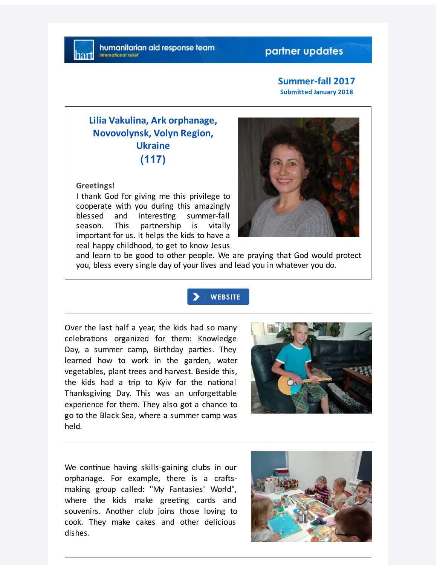### partner updates

#### **Summer-fall 2017 Submitted January 2018**

# **Lilia Vakulina, Ark orphanage, Novovolynsk, Volyn Region, Ukraine (117)**

#### **Greetings!**

I thank God for giving me this privilege to cooperate with you during this amazingly blessed and interesting summer-fall season. This partnership is vitally important for us. It helps the kids to have a real happy childhood, to get to know Jesus



and learn to be good to other people. We are praying that God would protect you, bless every single day of your lives and lead you in whatever you do.

## **WEBSITE**

Over the last half a year, the kids had so many celebrations organized for them: Knowledge Day, a summer camp, Birthday parties. They learned how to work in the garden, water vegetables, plant trees and harvest. Beside this, the kids had a trip to Kyiv for the national Thanksgiving Day. This was an unforgettable experience for them. They also got a chance to go to the Black Sea, where a summer camp was held.



We continue having skills-gaining clubs in our orphanage. For example, there is a craftsmaking group called: "My Fantasies' World", where the kids make greeting cards and souvenirs. Another club joins those loving to cook. They make cakes and other delicious dishes.